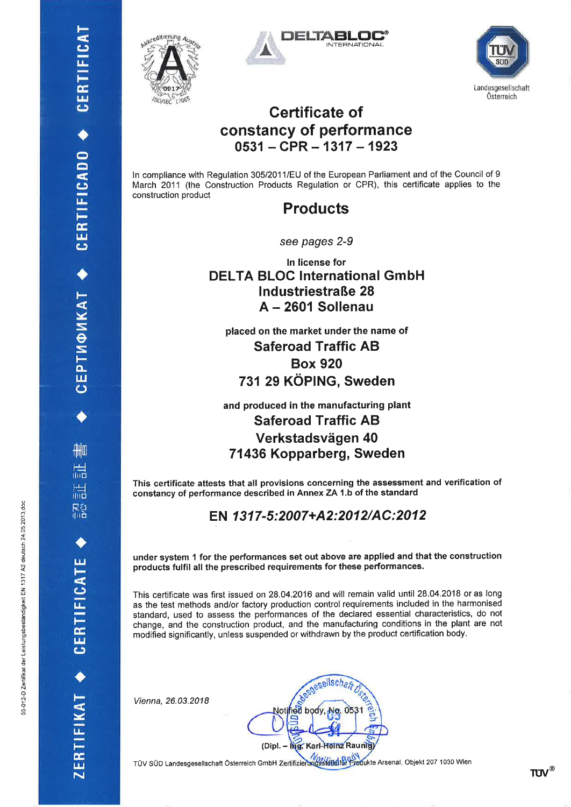CEPTMOMKAT ◆ CERTIFICADO ◆ CERTIFICAT

删

晨

H.<br>Uut

R2<br>他

ERTIFIKAT







#### **Certificate of** constancy of performance  $0531 - CPR - 1317 - 1923$

In compliance with Regulation 305/2011/EU of the European Parliament and of the Council of 9 March 2011 (the Construction Products Regulation or CPR), this certificate applies to the construction product

**Products** 

see pages 2-9

In license for **DELTA BLOC International GmbH Industriestraße 28** A - 2601 Sollenau

placed on the market under the name of **Saferoad Traffic AB Box 920** 731 29 KÖPING, Sweden

and produced in the manufacturing plant **Saferoad Traffic AB** Verkstadsvägen 40 71436 Kopparberg, Sweden

This certificate attests that all provisions concerning the assessment and verification of constancy of performance described in Annex ZA 1.b of the standard

#### EN 1317-5:2007+A2:2012/AC:2012

under system 1 for the performances set out above are applied and that the construction products fulfil all the prescribed requirements for these performances.

This certificate was first issued on 28.04.2016 and will remain valid until 28.04.2018 or as long as the test methods and/or factory production control requirements included in the harmonised standard, used to assess the performances of the declared essential characteristics, do not change, and the construction product, and the manufacturing conditions in the plant are not modified significantly, unless suspended or withdrawn by the product certification body.

Vienna, 26.03.2018

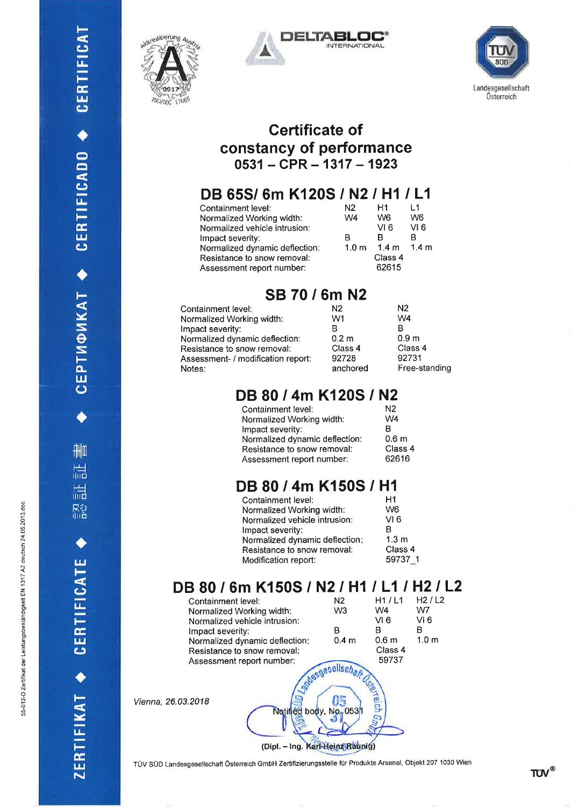CEPTM®MKAT ◆ CERTIFICADO ◆ CERTIFICAT

 $\frac{1}{\sqrt{2}}$ 

温

認証

CERTIFICATE

ZERTIFIKAT







#### **Certificate of** constancy of performance  $0531 - CPR - 1317 - 1923$

## DB 65S/6m K120S / N2 / H1 / L1

| Containment level:             | N2               | H1    | 11               |
|--------------------------------|------------------|-------|------------------|
| Normalized Working width:      | W4               | W6    | W <sub>6</sub>   |
| Normalized vehicle intrusion:  |                  | VI 6  | VI 6             |
| Impact severity:               | в                | R     | R                |
| Normalized dynamic deflection: | 1.0 <sub>m</sub> | 1.4 m | 1.4 <sub>m</sub> |
| Resistance to snow removal:    | Class 4          |       |                  |
| Assessment report number:      |                  | 62615 |                  |

#### SB 70 / 6m N2

| Containment level:                 | N2               | N2               |
|------------------------------------|------------------|------------------|
| Normalized Working width:          | W1               | W4               |
| Impact severity:                   |                  | в                |
| Normalized dynamic deflection:     | 0.2 <sub>m</sub> | 0.9 <sub>m</sub> |
| Resistance to snow removal:        | Class 4          | Class 4          |
| Assessment- / modification report: | 92728            | 92731            |
| Notes:                             | anchored         | Free-standing    |

## DB 80 / 4m K120S / N2

| Containment level:             | N <sub>2</sub>   |
|--------------------------------|------------------|
| Normalized Working width:      | W <sub>4</sub>   |
| Impact severity:               | R                |
| Normalized dynamic deflection: | 0.6 <sub>m</sub> |
| Resistance to snow removal:    | Class 4          |
| Assessment report number:      | 62616            |
|                                |                  |

## DB 80 / 4m K150S / H1

| Containment level:             | H1               |
|--------------------------------|------------------|
| Normalized Working width:      | W6               |
| Normalized vehicle intrusion:  | VI 6             |
| Impact severity:               | R                |
| Normalized dynamic deflection; | 1.3 <sub>m</sub> |
| Resistance to snow removal:    | Class 4          |
| Modification report:           | 59737 1          |
|                                |                  |

## DB 80 / 6m K150S / N2 / H1 / L1 / H2 / L2

| Containment level:<br>Normalized Working width:<br>Normalized vehicle intrusion: |                                                            | N2<br>W3         | H1/L1<br>W4<br>VI 6 | H2/L2<br>W7<br>VI 6 |
|----------------------------------------------------------------------------------|------------------------------------------------------------|------------------|---------------------|---------------------|
| Impact severity:                                                                 |                                                            | в                | в                   | в                   |
| Normalized dynamic deflection:                                                   |                                                            | 0.4 <sub>m</sub> | 0.6 <sub>m</sub>    | 1.0 <sub>m</sub>    |
| Resistance to snow removal:                                                      |                                                            |                  | Class 4             |                     |
| Assessment report number:                                                        |                                                            |                  | 59737               |                     |
| Vienna, 26.03.2018                                                               | Notified body, No. 053/<br>(Dipl. - Ing. Karl-Heinz Raunig | sellsch          |                     |                     |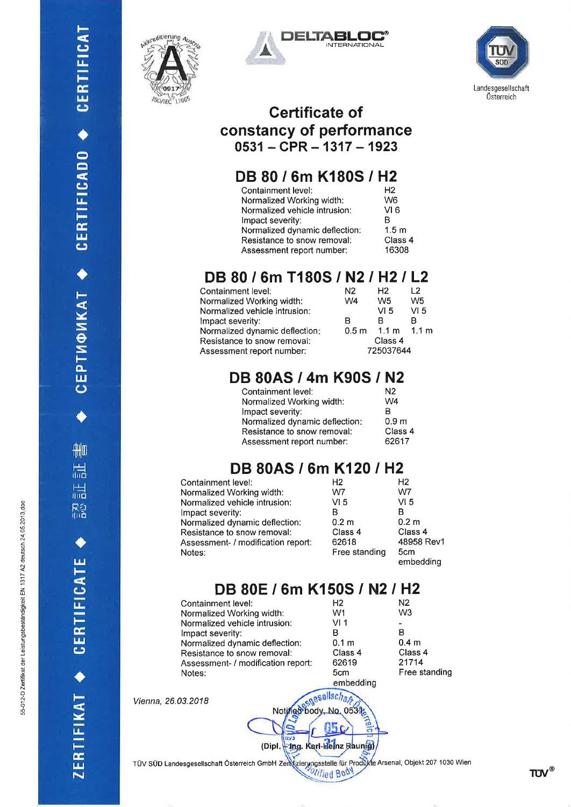CEPTMOMKAT ◆ CERTIFICADO ◆ CERTIFICAT

 $\frac{1}{\| \cdot \|_2}$ 

品

認証

CERTIFICATE

ZERTIFIKAT<sup>+</sup>



Vienna,





#### Certificate of constancy of performance  $0531 - CPR - 1317 - 1923$

## DB 80 / 6m K180S / H2

| Containment level:             | H <sub>2</sub>   |
|--------------------------------|------------------|
| Normalized Working width:      | W6               |
| Normalized vehicle intrusion:  | VI 6             |
| Impact severity:               | R                |
| Normalized dynamic deflection: | 1.5 <sub>m</sub> |
| Resistance to snow removal:    | Class 4          |
| Assessment report number:      | 16308            |

## DB 80 / 6m T180S / N2 / H2 / L2

| Containment level:             | N2               | Н2              | 12               |
|--------------------------------|------------------|-----------------|------------------|
| Normalized Working width:      | W <sub>4</sub>   | W5              | W <sub>5</sub>   |
| Normalized vehicle intrusion:  |                  | VI 5            | VI <sub>5</sub>  |
| Impact severity:               | в                | в               | B                |
| Normalized dynamic deflection: | 0.5 <sub>m</sub> | $1.1 \text{ m}$ | 1.1 <sub>m</sub> |
| Resistance to snow removal:    | Class 4          |                 |                  |
| Assessment report number:      | 725037644        |                 |                  |
|                                |                  |                 |                  |

## DB 80AS / 4m K90S / N2

| Containment level:             | N <sub>2</sub>   |
|--------------------------------|------------------|
| Normalized Working width:      | W <sub>4</sub>   |
| Impact severity:               | в                |
| Normalized dynamic deflection: | 0.9 <sub>m</sub> |
| Resistance to snow removal:    | Class            |
| Assessment report number:      | 62617            |

 $\overline{4}$ 

## DB 80AS / 6m K120 / H2

| Containment level:                 | Н2               | Н2               |
|------------------------------------|------------------|------------------|
| Normalized Working width:          | W7               | W7               |
| Normalized vehicle intrusion:      | VI <sub>5</sub>  | VI <sub>5</sub>  |
| Impact severity:                   | в                |                  |
| Normalized dynamic deflection:     | 0.2 <sub>m</sub> | 0.2 <sub>m</sub> |
| Resistance to snow removal:        | Class 4          | Class 4          |
| Assessment- / modification report: | 62618            | 48958 Rev        |
| Notes:                             | Free standing    | 5cm<br>embedding |

## DB 80E / 6m K150S / N2 / H2

| Containment level:                 | H <sub>2</sub>   | N2               |
|------------------------------------|------------------|------------------|
| Normalized Working width:          | W1               | W3               |
| Normalized vehicle intrusion:      | VI 1             |                  |
| Impact severity:                   | в                | в                |
| Normalized dynamic deflection:     | 0.1 <sub>m</sub> | 0.4 <sub>m</sub> |
| Resistance to snow removal:        | Class 4          | Class 4          |
| Assessment- / modification report: | 62619            | 21714            |
| Notes:                             | 5cm              | Free standing    |
|                                    | embedding        |                  |
| 26.03.2018                         |                  |                  |
|                                    |                  |                  |

TÜV SÜD Landesgesellschaft Österreich GmbH Zendizierungsstelle für Produkte Arsenal, Objekt 207 1030 Wien

(Dipl. + Ing. Karl-Heinz Raunts)

TUV®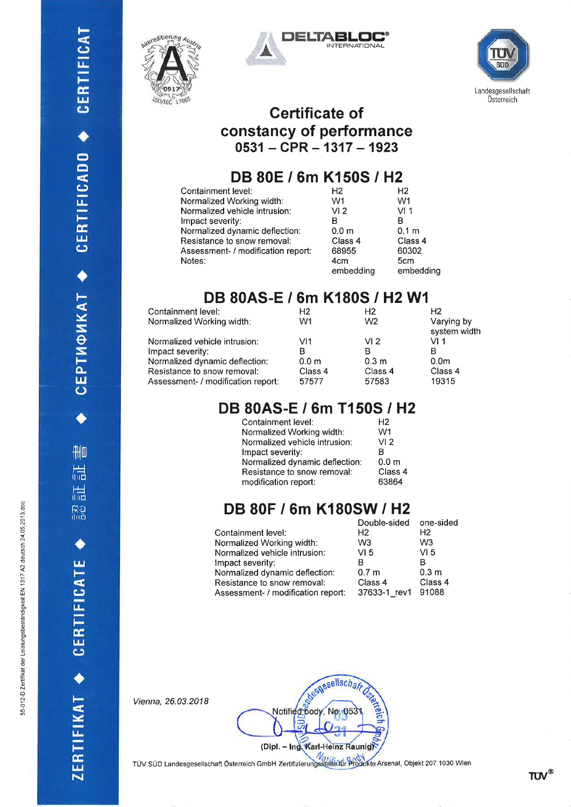CEPTMФИКАТ ◆ CERTIFICADO ◆ CERTIFICAT

刪

温

 $\frac{1}{100}$ 

R2<br>Illia

CERTIFICATE

ZERTIFIKAT







#### **Certificate of** constancy of performance  $0531 - CPR - 1317 - 1923$

## DB 80E / 6m K150S / H2

| Containment level:                 | H <sub>2</sub>   | H <sub>2</sub>   |
|------------------------------------|------------------|------------------|
| Normalized Working width:          | W1               | W1               |
| Normalized vehicle intrusion:      | VI <sub>2</sub>  | VI 1             |
| Impact severity:                   | в                | в                |
| Normalized dynamic deflection:     | 0.0 <sub>m</sub> | 0.1 <sub>m</sub> |
| Resistance to snow removal:        | Class 4          | Class 4          |
| Assessment- / modification report: | 68955            | 60302            |
| Notes:                             | 4cm              | 5cm              |
|                                    | embedding        | embedding        |

### DB 80AS-E / 6m K180S / H2 W1

| Containment level:                 | Н2               | H2               | H2                         |
|------------------------------------|------------------|------------------|----------------------------|
| Normalized Working width:          | W1               | W <sub>2</sub>   | Varying by<br>system width |
| Normalized vehicle intrusion:      | VI1              | VI 2             | VI 1                       |
| Impact severity:                   |                  |                  | в                          |
| Normalized dynamic deflection:     | 0.0 <sub>m</sub> | 0.3 <sub>m</sub> | 0.0 <sub>m</sub>           |
| Resistance to snow removal:        | Class 4          | Class 4          | Class 4                    |
| Assessment- / modification report: | 57577            | 57583            | 19315                      |

## DB 80AS-E / 6m T150S / H2

| VI <sub>2</sub>  |
|------------------|
|                  |
| 0.0 <sub>m</sub> |
| Class 4          |
| 63864            |
|                  |

## DB 80F / 6m K180SW / H2

|                                    | Double-sided     | one-sided        |
|------------------------------------|------------------|------------------|
| Containment level:                 | H2               | H2               |
| Vormalized Working width:          | W <sub>3</sub>   | W <sub>3</sub>   |
| Normalized vehicle intrusion:      | VI <sub>5</sub>  | VI <sub>5</sub>  |
| mpact severity:                    | в                | в                |
| Normalized dynamic deflection:     | 0.7 <sub>m</sub> | 0.3 <sub>m</sub> |
| Resistance to snow removal:        | Class 4          | Class 4          |
| Assessment- / modification report: | 37633-1_rev1     | 91088            |
|                                    |                  |                  |

Vienna, 26.03.2018

 $\epsilon$ eellsch Notified body, No. 05 (Dipl. - Ing Karl-Heinz Raunig)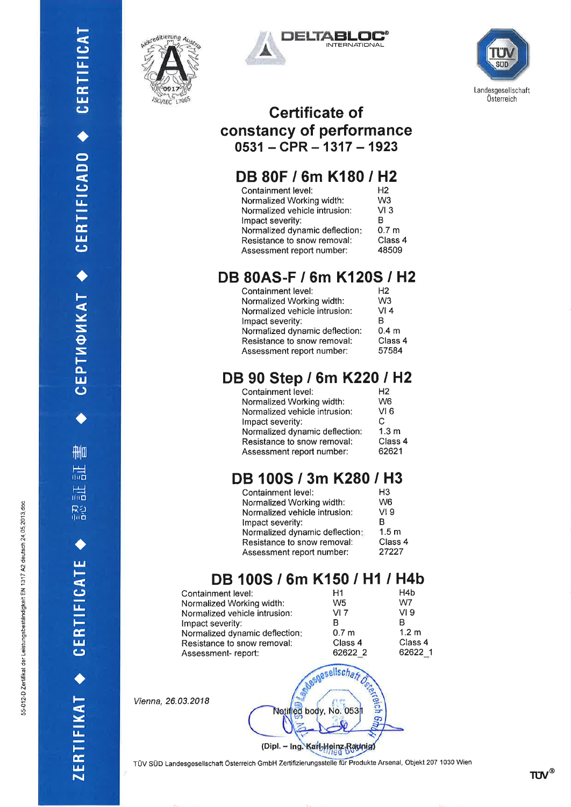

t-

CJ  $\mathbf{u}_\perp$ 

i<br>⊡  $\mathbf \omega$ 

ao

 $\bar{\mathbf{\Omega}}$ 

CJ lJ-

 $\frac{\alpha}{\Box}$  $\mathbf \omega$ 

 $\blacklozenge$ 

lonkat

:Sto- $\mathbf{u}$  $\bm{\mathsf{\omega}}$ 

a

f**ilm** 

r<br>Inc

r-! rlil tr

ra<br>Ra

 $\blacklozenge$ 

u¡ t-

CJ l¿-

 $\frac{\alpha}{\pi}$  $\mathbf \omega$ 

a

t-

<u>י</u>

l<br>F É,  $\mathbf{z}$ 





#### Certificate of constancy of performance  $0531 - CPR - 1317 - 1923$

## DB 80F / 6m K180 / H2

| Containment level:             | H <sub>2</sub>   |
|--------------------------------|------------------|
| Normalized Working width:      | W3               |
| Normalized vehicle intrusion:  | VI3              |
| Impact severity:               | R                |
| Normalized dynamic deflection: | 0.7 <sub>m</sub> |
| Resistance to snow removal:    | Class 4          |
| Assessment report number:      | 48509            |

#### DB 80AS-F / 6m K120S / H2

| Containment level:             | H2               |
|--------------------------------|------------------|
| Normalized Working width:      | W <sub>3</sub>   |
| Normalized vehicle intrusion:  | VI4              |
| Impact severity:               | в                |
| Normalized dynamic deflection: | 0.4 <sub>m</sub> |
| Resistance to snow removal:    | Class 4          |
| Assessment report number:      | 57584            |
|                                |                  |

## DB 90 Step / 6m K220 / H2

| Containment level:             | H <sub>2</sub>   |
|--------------------------------|------------------|
| Normalized Working width:      | W <sub>6</sub>   |
| Normalized vehicle intrusion:  | VI <sub>6</sub>  |
| Impact severity:               | C                |
| Normalized dynamic deflection: | 1.3 <sub>m</sub> |
| Resistance to snow removal:    | Class 4          |
| Assessment report number:      | 62621            |

## DB l00S / 3m K280 / H3

| Containment level:             | H <sub>3</sub>   |
|--------------------------------|------------------|
| Normalized Working width:      | W <sub>6</sub>   |
| Normalized vehicle intrusion:  | VI <sub>9</sub>  |
| Impact severity:               | R                |
| Normalized dynamic deflection: | 1.5 <sub>m</sub> |
| Resistance to snow removal:    | Class 4          |
| Assessment report number:      | 27227            |

## DB 100S / 6m K150 / H1 / H4b

| Containment level:             | Η1               | H4b              |
|--------------------------------|------------------|------------------|
| Normalized Working width:      | W <sub>5</sub>   | W7               |
| Normalized vehicle intrusion:  | VI 7             | VI <sub>9</sub>  |
| Impact severity:               | R                | в                |
| Normalized dynamic deflection: | 0.7 <sub>m</sub> | 1.2 <sub>m</sub> |
| Resistance to snow removal:    | Class 4          | Class 4          |
| Assessment-report:             | 62622 2          | 62622 1          |

Vienna, 26.03.2018

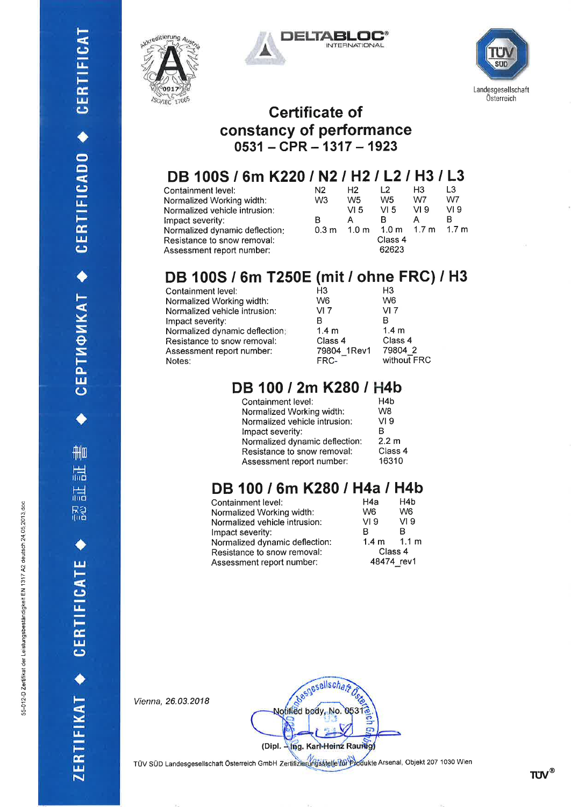CEPTMФИКАТ ◆ CERTIFICADO ◆ CERTIFICAT

**THIO** 

品

温 R3<br>Ind

CERTIFICATE

ZERTIFIKAT +







#### Gertificate of constancy of performance  $0531 - CPR - 1317 - 1923$

# DB 100S / 6m K220 / N2 / H2 / L2 / H3 / L3<br>Containment level:<br>

| Containment level:             | N <sub>2</sub>   | H <sub>2</sub>   | 12               | H3    | 13              |
|--------------------------------|------------------|------------------|------------------|-------|-----------------|
| Normalized Working width:      | W <sub>3</sub>   | W <sub>5</sub>   | W5               | W7    | W7              |
| Normalized vehicle intrusion:  |                  | VI 5             | VI <sub>5</sub>  | VI 9  | VI <sub>9</sub> |
| Impact severity:               | в                | А                |                  |       | в               |
| Normalized dynamic deflection: | 0.3 <sub>m</sub> | 1.0 <sub>m</sub> | 1.0 <sub>m</sub> | 1.7 m | 1.7 m           |
| Resistance to snow removal:    |                  |                  | Class 4          |       |                 |
| Assessment report number:      |                  |                  | 62623            |       |                 |
|                                |                  |                  |                  |       |                 |

## DB l00S / 6m T250E (mit / ohne FRC) / H3

| Containment level:             | H <sub>3</sub>   | H <sub>3</sub>   |
|--------------------------------|------------------|------------------|
| Normalized Working width:      | W <sub>6</sub>   | W <sub>6</sub>   |
| Normalized vehicle intrusion:  | VI 7             | VI 7             |
| Impact severity:               | R                | в                |
| Normalized dynamic deflection: | 1.4 <sub>m</sub> | 1.4 <sub>m</sub> |
| Resistance to snow removal:    | Class 4          | Class 4          |
| Assessment report number:      | 79804_1Rev1      | 79804 2          |
| Notes:                         | FRC-             | without FRC      |
|                                |                  |                  |

#### DB 100 / 2m K280 / H4b

| 2.2 m   |
|---------|
| Class 4 |
| 16310   |
|         |

## DB 100 / 6m K280 / H4a / H4b

| Containment level:             | H4a            | H4b             |
|--------------------------------|----------------|-----------------|
| Normalized Working width:      | W <sub>6</sub> | W <sub>6</sub>  |
| Normalized vehicle intrusion:  | VI 9           | VI <sub>9</sub> |
| Impact severity:               | B              | R               |
| Normalized dynamic deflection: |                | $1.4 m$ $1.1 m$ |
| Resistance to snow removal:    | Class 4        |                 |
| Assessment report number:      | 48474 rev1     |                 |
|                                |                |                 |

Vienna, 26.03.2018

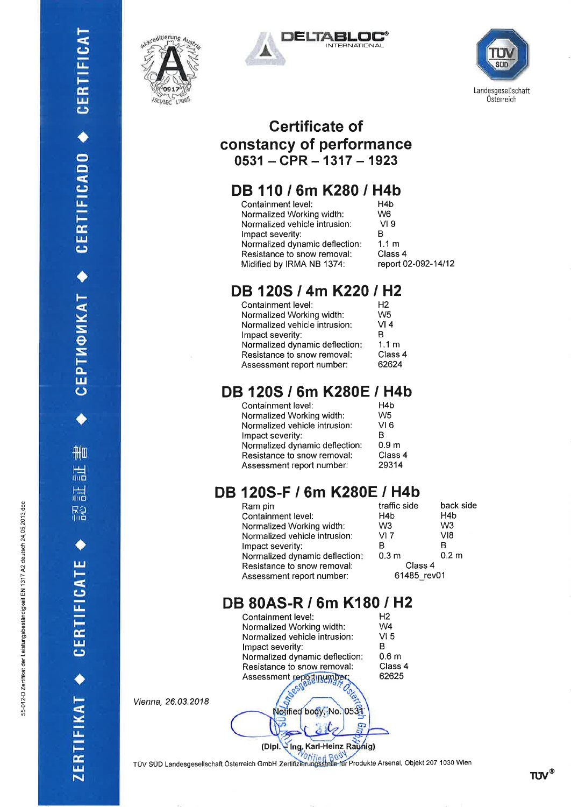CEPTMФИКАТ ◆ CERTIFICADO ◆ CERTIFICAT

刪

温

温 Ra<br>100

CERTIFICATE

ZERTIFIKAT +







#### Gertificate of constancy of performance  $0531 - CPR - 1317 - 1923$

## DB 110 / 6m K280 / H4b

| H4b                 |
|---------------------|
| W6                  |
| VI 9                |
| R                   |
| 1.1 m               |
| Class 4             |
| report 02-092-14/12 |
|                     |

## DB 120S / 4m K220 / H2

| Containment level:             | H2               |
|--------------------------------|------------------|
| Normalized Working width:      | W <sub>5</sub>   |
| Normalized vehicle intrusion:  | VI 4             |
| Impact severity:               | R                |
| Normalized dynamic deflection: | 1.1 <sub>m</sub> |
| Resistance to snow removal:    | Class 4          |
| Assessment report number:      | 62624            |
|                                |                  |

## DB 120S / 6m K280E / H4b

| Containment level:             | H4 <sub>b</sub>  |
|--------------------------------|------------------|
| Normalized Working width:      | W <sub>5</sub>   |
| Normalized vehicle intrusion:  | VI 6             |
| Impact severity:               | в                |
| Normalized dynamic deflection: | 0.9 <sub>m</sub> |
| Resistance to snow removal:    | Class 4          |
| Assessment report number:      | 29314            |

## DB 120S-F / 6m K280E / H4b

| Ram pin                        | traffic side     | back side        |
|--------------------------------|------------------|------------------|
| Containment level:             | H <sub>4</sub> b | H <sub>4</sub> b |
| Normalized Working width:      | W3               | W <sub>3</sub>   |
| Normalized vehicle intrusion:  | VI 7             | V18              |
| Impact severity:               | в                | в                |
| Normalized dynamic deflection. | 0.3 <sub>m</sub> | 0.2 <sub>m</sub> |
| Resistance to snow removal:    | Class 4          |                  |
| Assessment report number:      | 61485 rev01      |                  |
|                                |                  |                  |

## DB 80AS-R / 6m K180 / H2

| Containment level:             | H <sub>2</sub>   |
|--------------------------------|------------------|
| Normalized Working width:      | W <sub>4</sub>   |
| Normalized vehicle intrusion:  | VI 5             |
| Impact severity:               | R                |
| Normalized dynamic deflection: | 0.6 <sub>m</sub> |
| Resistance to snow removal:    | Class 4          |
| Assessment report number;      | 62625            |
|                                |                  |

Notified body, No. 0531

Vienna, 26.03.2018

(Dipl. Ing, Karl-Heinz Raynig)

G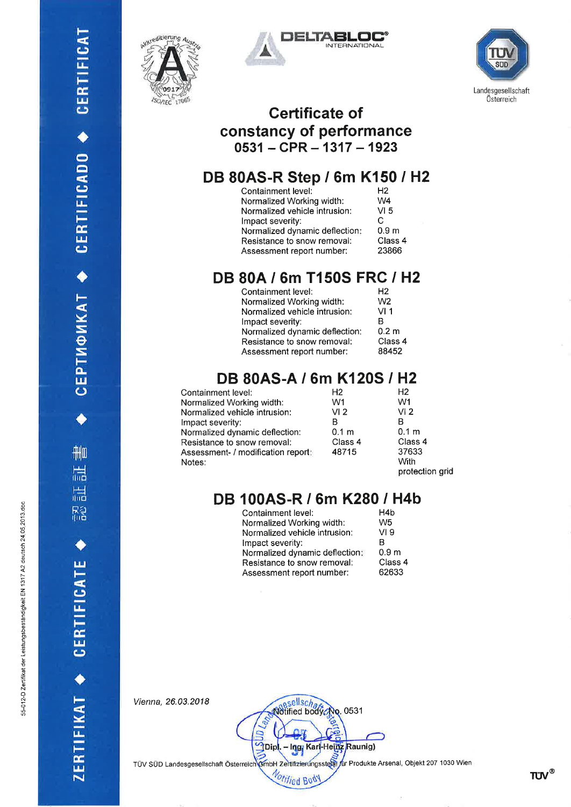CEPTM®MKAT ◆ CERTIFICADO ◆ CERTIFICAT

刪

温

温

需

ZERTIFIKAT + CERTIFICATE







#### **Certificate of** constancy of performance  $0531 - CPR - 1317 - 1923$

## DB 80AS-R Step / 6m K150 / H2

| Containment level:             | H <sub>2</sub>   |
|--------------------------------|------------------|
| Normalized Working width:      | W4               |
| Normalized vehicle intrusion:  | VI <sub>5</sub>  |
| Impact severity:               | C                |
| Normalized dynamic deflection: | 0.9 <sub>m</sub> |
| Resistance to snow removal:    | Class 4          |
| Assessment report number:      | 23866            |

### DB 80A / 6m T150S FRC / H2

| Containment level:             | H <sub>2</sub>   |
|--------------------------------|------------------|
| Normalized Working width:      | W <sub>2</sub>   |
| Normalized vehicle intrusion:  | VI 1             |
| Impact severity:               | B                |
| Normalized dynamic deflection: | 0.2 <sub>m</sub> |
| Resistance to snow removal:    | Class 4          |
| Assessment report number:      | 88452            |
|                                |                  |

### DB 80AS-A / 6m K120S / H2

| Containment level:                 | H2               | H <sub>2</sub>   |
|------------------------------------|------------------|------------------|
| Normalized Working width:          | W1               | W1               |
| Normalized vehicle intrusion:      | VI <sub>2</sub>  | VI <sub>2</sub>  |
| Impact severity:                   | в                | в                |
| Normalized dynamic deflection:     | 0.1 <sub>m</sub> | 0.1 <sub>m</sub> |
| Resistance to snow removal:        | Class 4          | Class 4          |
| Assessment- / modification report: | 48715            | 37633            |
| Notes:                             |                  | With             |
|                                    |                  | protection grid  |

## DB 100AS-R / 6m K280 / H4b

| Containment level:             | H <sub>4</sub> b |
|--------------------------------|------------------|
| Normalized Working width:      | W <sub>5</sub>   |
| Normalized vehicle intrusion:  | VI 9             |
| Impact severity:               | в                |
| Normalized dynamic deflection: | 0.9 <sub>m</sub> |
| Resistance to snow removal:    | Class 4          |
| Assessment report number:      | 62633            |
|                                |                  |